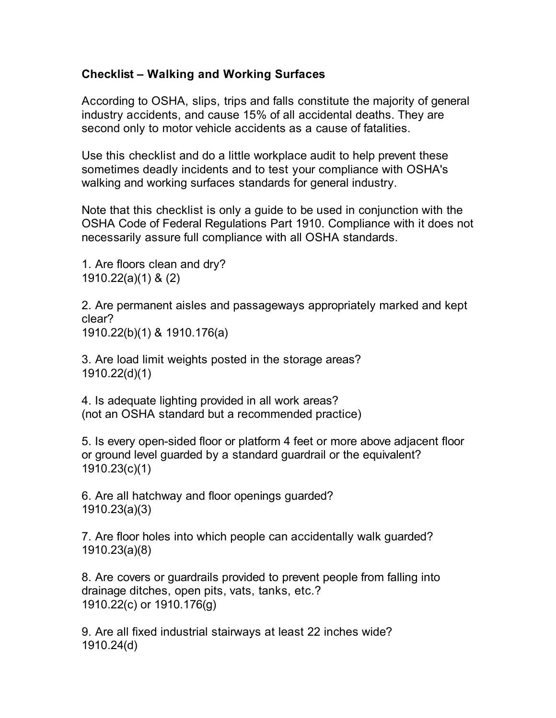## **Checklist – Walking and Working Surfaces**

According to OSHA, slips, trips and falls constitute the majority of general industry accidents, and cause 15% of all accidental deaths. They are second only to motor vehicle accidents as a cause of fatalities.

Use this checklist and do a little workplace audit to help prevent these sometimes deadly incidents and to test your compliance with OSHA's walking and working surfaces standards for general industry.

Note that this checklist is only a guide to be used in conjunction with the OSHA Code of Federal Regulations Part 1910. Compliance with it does not necessarily assure full compliance with all OSHA standards.

1. Are floors clean and dry? 1910.22(a)(1) & (2)

2. Are permanent aisles and passageways appropriately marked and kept clear? 1910.22(b)(1) & 1910.176(a)

3. Are load limit weights posted in the storage areas? 1910.22(d)(1)

4. Is adequate lighting provided in all work areas? (not an OSHA standard but a recommended practice)

5. Is every open-sided floor or platform 4 feet or more above adjacent floor or ground level guarded by a standard guardrail or the equivalent? 1910.23(c)(1)

6. Are all hatchway and floor openings guarded? 1910.23(a)(3)

7. Are floor holes into which people can accidentally walk guarded? 1910.23(a)(8)

8. Are covers or guardrails provided to prevent people from falling into drainage ditches, open pits, vats, tanks, etc.? 1910.22(c) or 1910.176(g)

9. Are all fixed industrial stairways at least 22 inches wide? 1910.24(d)